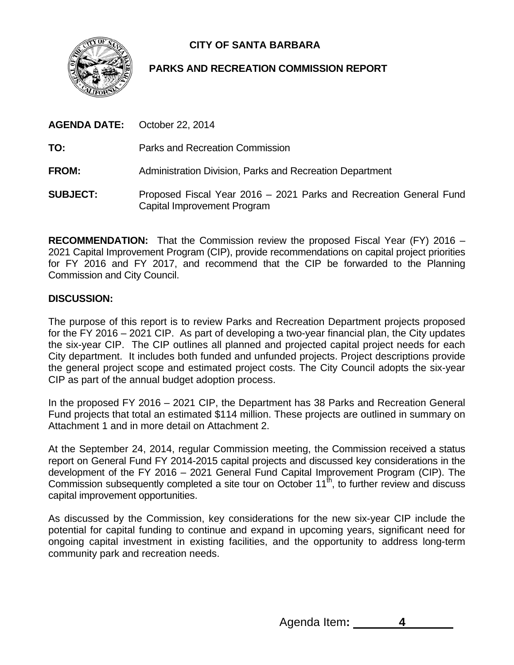

# **CITY OF SANTA BARBARA**

# **PARKS AND RECREATION COMMISSION REPORT**

**AGENDA DATE:** October 22, 2014 **TO:** Parks and Recreation Commission **FROM:** Administration Division, Parks and Recreation Department **SUBJECT:** Proposed Fiscal Year 2016 – 2021 Parks and Recreation General Fund

Capital Improvement Program

**RECOMMENDATION:** That the Commission review the proposed Fiscal Year (FY) 2016 – 2021 Capital Improvement Program (CIP), provide recommendations on capital project priorities for FY 2016 and FY 2017, and recommend that the CIP be forwarded to the Planning Commission and City Council.

## **DISCUSSION:**

The purpose of this report is to review Parks and Recreation Department projects proposed for the FY 2016 – 2021 CIP. As part of developing a two-year financial plan, the City updates the six-year CIP. The CIP outlines all planned and projected capital project needs for each City department. It includes both funded and unfunded projects. Project descriptions provide the general project scope and estimated project costs. The City Council adopts the six-year CIP as part of the annual budget adoption process.

In the proposed FY 2016 – 2021 CIP, the Department has 38 Parks and Recreation General Fund projects that total an estimated \$114 million. These projects are outlined in summary on Attachment 1 and in more detail on Attachment 2.

At the September 24, 2014, regular Commission meeting, the Commission received a status report on General Fund FY 2014-2015 capital projects and discussed key considerations in the development of the FY 2016 – 2021 General Fund Capital Improvement Program (CIP). The Commission subsequently completed a site tour on October 11<sup>th</sup>, to further review and discuss capital improvement opportunities.

As discussed by the Commission, key considerations for the new six-year CIP include the potential for capital funding to continue and expand in upcoming years, significant need for ongoing capital investment in existing facilities, and the opportunity to address long-term community park and recreation needs.

Agenda Item**: 4**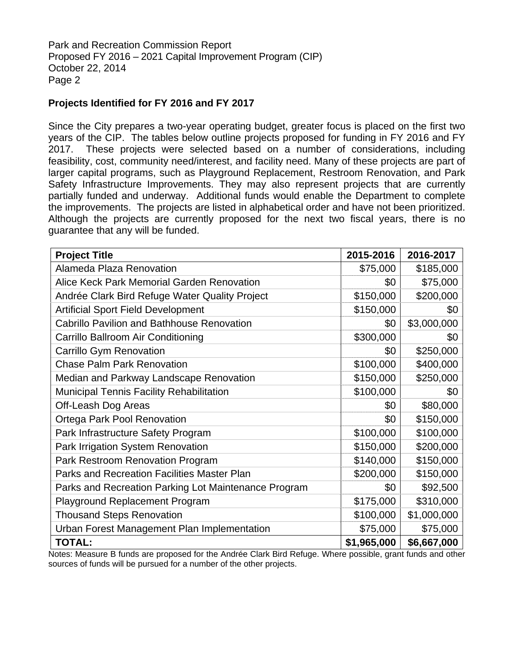Park and Recreation Commission Report Proposed FY 2016 – 2021 Capital Improvement Program (CIP) October 22, 2014 Page 2

### **Projects Identified for FY 2016 and FY 2017**

Since the City prepares a two-year operating budget, greater focus is placed on the first two years of the CIP. The tables below outline projects proposed for funding in FY 2016 and FY 2017. These projects were selected based on a number of considerations, including feasibility, cost, community need/interest, and facility need. Many of these projects are part of larger capital programs, such as Playground Replacement, Restroom Renovation, and Park Safety Infrastructure Improvements. They may also represent projects that are currently partially funded and underway. Additional funds would enable the Department to complete the improvements. The projects are listed in alphabetical order and have not been prioritized. Although the projects are currently proposed for the next two fiscal years, there is no guarantee that any will be funded.

| <b>Project Title</b>                                 | 2015-2016   | 2016-2017   |
|------------------------------------------------------|-------------|-------------|
| Alameda Plaza Renovation                             | \$75,000    | \$185,000   |
| Alice Keck Park Memorial Garden Renovation           | \$0         | \$75,000    |
| Andrée Clark Bird Refuge Water Quality Project       | \$150,000   | \$200,000   |
| <b>Artificial Sport Field Development</b>            | \$150,000   | \$0         |
| <b>Cabrillo Pavilion and Bathhouse Renovation</b>    | \$0         | \$3,000,000 |
| Carrillo Ballroom Air Conditioning                   | \$300,000   | \$0         |
| Carrillo Gym Renovation                              | \$0         | \$250,000   |
| <b>Chase Palm Park Renovation</b>                    | \$100,000   | \$400,000   |
| Median and Parkway Landscape Renovation              | \$150,000   | \$250,000   |
| <b>Municipal Tennis Facility Rehabilitation</b>      | \$100,000   | \$0         |
| Off-Leash Dog Areas                                  | \$0         | \$80,000    |
| <b>Ortega Park Pool Renovation</b>                   | \$0         | \$150,000   |
| Park Infrastructure Safety Program                   | \$100,000   | \$100,000   |
| Park Irrigation System Renovation                    | \$150,000   | \$200,000   |
| Park Restroom Renovation Program                     | \$140,000   | \$150,000   |
| <b>Parks and Recreation Facilities Master Plan</b>   | \$200,000   | \$150,000   |
| Parks and Recreation Parking Lot Maintenance Program | \$0         | \$92,500    |
| <b>Playground Replacement Program</b>                | \$175,000   | \$310,000   |
| <b>Thousand Steps Renovation</b>                     | \$100,000   | \$1,000,000 |
| Urban Forest Management Plan Implementation          | \$75,000    | \$75,000    |
| <b>TOTAL:</b>                                        | \$1,965,000 | \$6,667,000 |

Notes: Measure B funds are proposed for the Andrée Clark Bird Refuge. Where possible, grant funds and other sources of funds will be pursued for a number of the other projects.